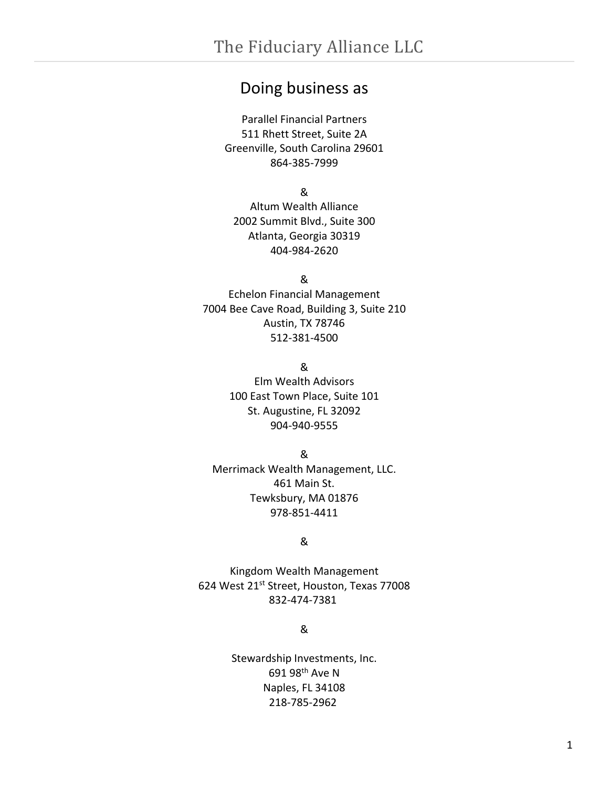## <span id="page-0-0"></span>Doing business as

Parallel Financial Partners 511 Rhett Street, Suite 2A Greenville, South Carolina 29601 864-385-7999

&

Altum Wealth Alliance 2002 Summit Blvd., Suite 300 Atlanta, Georgia 30319 404-984-2620

&

Echelon Financial Management 7004 Bee Cave Road, Building 3, Suite 210 Austin, TX 78746 512-381-4500

&

Elm Wealth Advisors 100 East Town Place, Suite 101 St. Augustine, FL 32092 904-940-9555

&

Merrimack Wealth Management, LLC. 461 Main St. Tewksbury, MA 01876 978-851-4411

#### &

Kingdom Wealth Management 624 West 21<sup>st</sup> Street, Houston, Texas 77008 832-474-7381

&

Stewardship Investments, Inc. 691 98th Ave N Naples, FL 34108 218-785-2962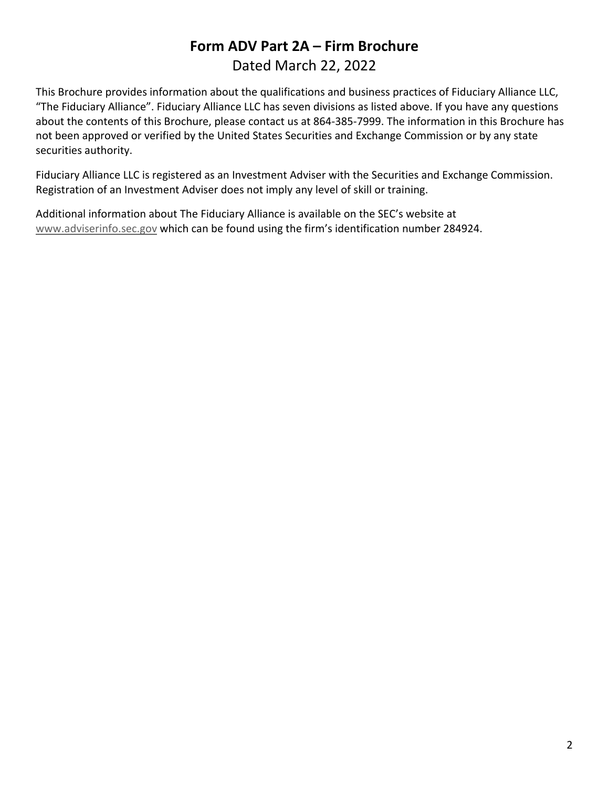## **Form ADV Part 2A – Firm Brochure** Dated March 22, 2022

This Brochure provides information about the qualifications and business practices of Fiduciary Alliance LLC, "The Fiduciary Alliance". Fiduciary Alliance LLC has seven divisions as listed above. If you have any questions about the contents of this Brochure, please contact us at 864-385-7999. The information in this Brochure has not been approved or verified by the United States Securities and Exchange Commission or by any state securities authority.

Fiduciary Alliance LLC is registered as an Investment Adviser with the Securities and Exchange Commission. Registration of an Investment Adviser does not imply any level of skill or training.

Additional information about The Fiduciary Alliance is available on the SEC's website at [www.adviserinfo.sec.gov](http://www.adviserinfo.sec.gov/) which can be found using the firm's identification number 284924.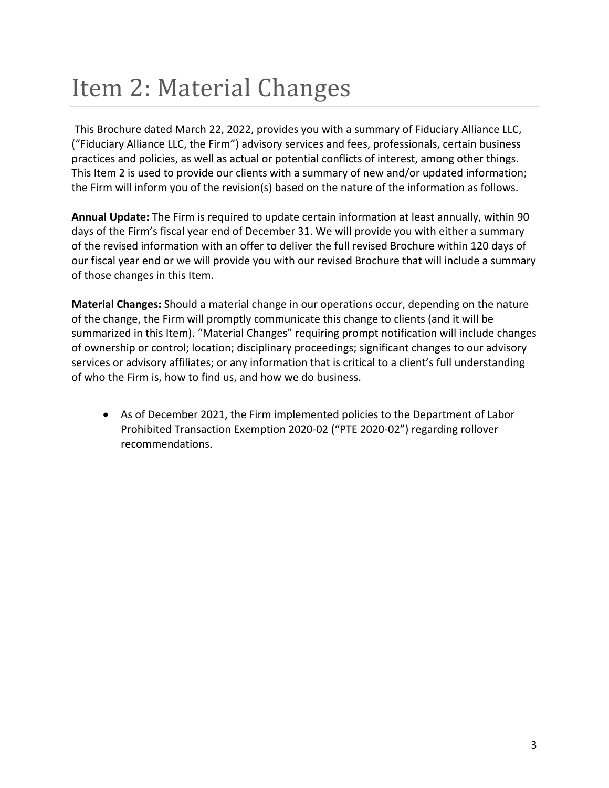## <span id="page-2-0"></span>Item 2: Material Changes

This Brochure dated March 22, 2022, provides you with a summary of Fiduciary Alliance LLC, ("Fiduciary Alliance LLC, the Firm") advisory services and fees, professionals, certain business practices and policies, as well as actual or potential conflicts of interest, among other things. This Item 2 is used to provide our clients with a summary of new and/or updated information; the Firm will inform you of the revision(s) based on the nature of the information as follows.

**Annual Update:** The Firm is required to update certain information at least annually, within 90 days of the Firm's fiscal year end of December 31. We will provide you with either a summary of the revised information with an offer to deliver the full revised Brochure within 120 days of our fiscal year end or we will provide you with our revised Brochure that will include a summary of those changes in this Item.

**Material Changes:** Should a material change in our operations occur, depending on the nature of the change, the Firm will promptly communicate this change to clients (and it will be summarized in this Item). "Material Changes" requiring prompt notification will include changes of ownership or control; location; disciplinary proceedings; significant changes to our advisory services or advisory affiliates; or any information that is critical to a client's full understanding of who the Firm is, how to find us, and how we do business.

• As of December 2021, the Firm implemented policies to the Department of Labor Prohibited Transaction Exemption 2020-02 ("PTE 2020-02") regarding rollover recommendations.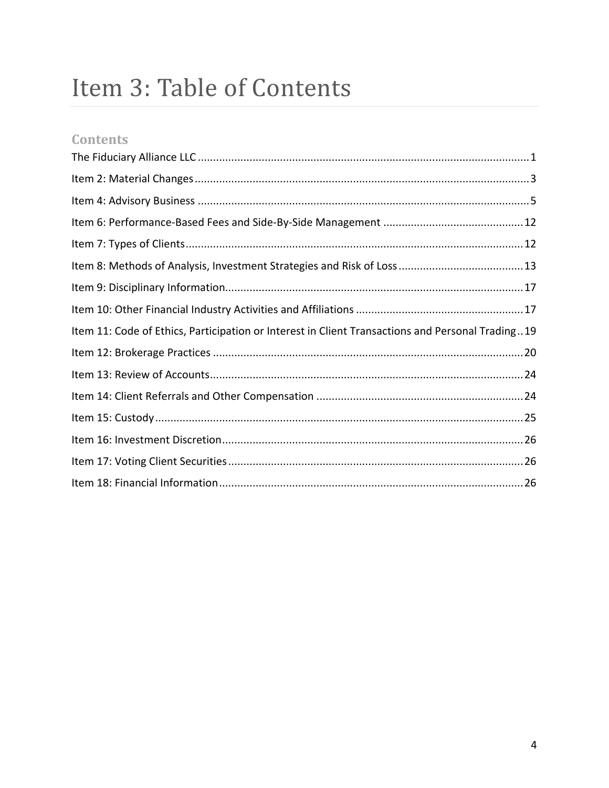## Item 3: Table of Contents

## **Contents**

| Item 11: Code of Ethics, Participation or Interest in Client Transactions and Personal Trading19 |
|--------------------------------------------------------------------------------------------------|
|                                                                                                  |
|                                                                                                  |
|                                                                                                  |
|                                                                                                  |
|                                                                                                  |
|                                                                                                  |
|                                                                                                  |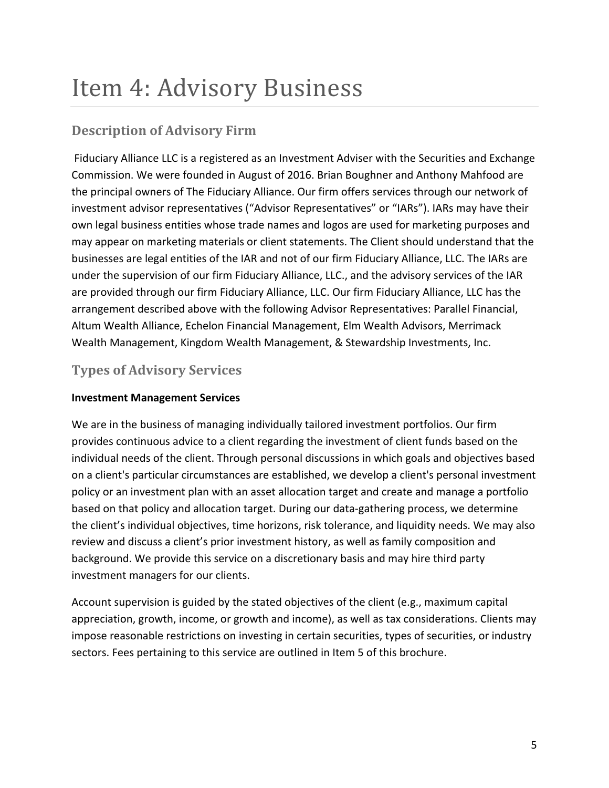## <span id="page-4-0"></span>Item 4: Advisory Business

## **Description of Advisory Firm**

Fiduciary Alliance LLC is a registered as an Investment Adviser with the Securities and Exchange Commission. We were founded in August of 2016. Brian Boughner and Anthony Mahfood are the principal owners of The Fiduciary Alliance. Our firm offers services through our network of investment advisor representatives ("Advisor Representatives" or "IARs"). IARs may have their own legal business entities whose trade names and logos are used for marketing purposes and may appear on marketing materials or client statements. The Client should understand that the businesses are legal entities of the IAR and not of our firm Fiduciary Alliance, LLC. The IARs are under the supervision of our firm Fiduciary Alliance, LLC., and the advisory services of the IAR are provided through our firm Fiduciary Alliance, LLC. Our firm Fiduciary Alliance, LLC has the arrangement described above with the following Advisor Representatives: Parallel Financial, Altum Wealth Alliance, Echelon Financial Management, Elm Wealth Advisors, Merrimack Wealth Management, Kingdom Wealth Management, & Stewardship Investments, Inc.

## **Types of Advisory Services**

#### **Investment Management Services**

We are in the business of managing individually tailored investment portfolios. Our firm provides continuous advice to a client regarding the investment of client funds based on the individual needs of the client. Through personal discussions in which goals and objectives based on a client's particular circumstances are established, we develop a client's personal investment policy or an investment plan with an asset allocation target and create and manage a portfolio based on that policy and allocation target. During our data-gathering process, we determine the client's individual objectives, time horizons, risk tolerance, and liquidity needs. We may also review and discuss a client's prior investment history, as well as family composition and background. We provide this service on a discretionary basis and may hire third party investment managers for our clients.

Account supervision is guided by the stated objectives of the client (e.g., maximum capital appreciation, growth, income, or growth and income), as well as tax considerations. Clients may impose reasonable restrictions on investing in certain securities, types of securities, or industry sectors. Fees pertaining to this service are outlined in Item 5 of this brochure.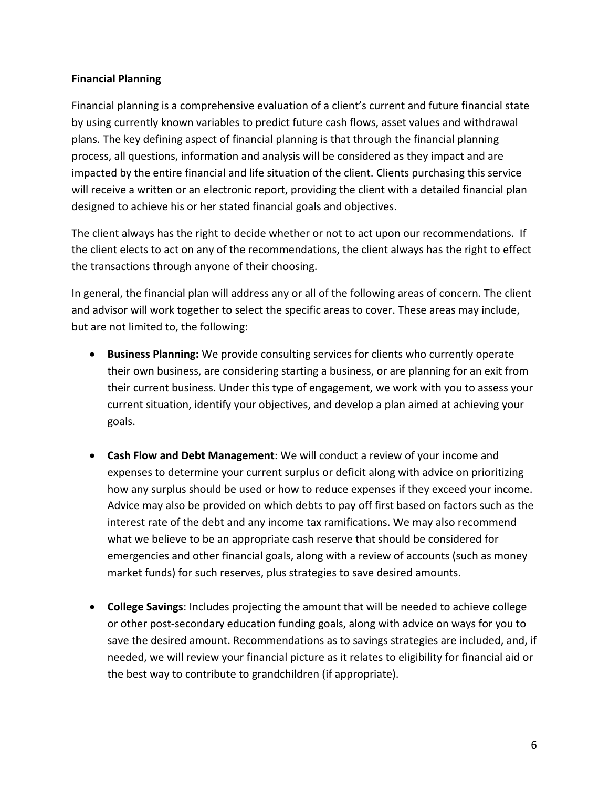#### **Financial Planning**

Financial planning is a comprehensive evaluation of a client's current and future financial state by using currently known variables to predict future cash flows, asset values and withdrawal plans. The key defining aspect of financial planning is that through the financial planning process, all questions, information and analysis will be considered as they impact and are impacted by the entire financial and life situation of the client. Clients purchasing this service will receive a written or an electronic report, providing the client with a detailed financial plan designed to achieve his or her stated financial goals and objectives.

The client always has the right to decide whether or not to act upon our recommendations. If the client elects to act on any of the recommendations, the client always has the right to effect the transactions through anyone of their choosing.

In general, the financial plan will address any or all of the following areas of concern. The client and advisor will work together to select the specific areas to cover. These areas may include, but are not limited to, the following:

- **Business Planning:** We provide consulting services for clients who currently operate their own business, are considering starting a business, or are planning for an exit from their current business. Under this type of engagement, we work with you to assess your current situation, identify your objectives, and develop a plan aimed at achieving your goals.
- **Cash Flow and Debt Management**: We will conduct a review of your income and expenses to determine your current surplus or deficit along with advice on prioritizing how any surplus should be used or how to reduce expenses if they exceed your income. Advice may also be provided on which debts to pay off first based on factors such as the interest rate of the debt and any income tax ramifications. We may also recommend what we believe to be an appropriate cash reserve that should be considered for emergencies and other financial goals, along with a review of accounts (such as money market funds) for such reserves, plus strategies to save desired amounts.
- **College Savings**: Includes projecting the amount that will be needed to achieve college or other post-secondary education funding goals, along with advice on ways for you to save the desired amount. Recommendations as to savings strategies are included, and, if needed, we will review your financial picture as it relates to eligibility for financial aid or the best way to contribute to grandchildren (if appropriate).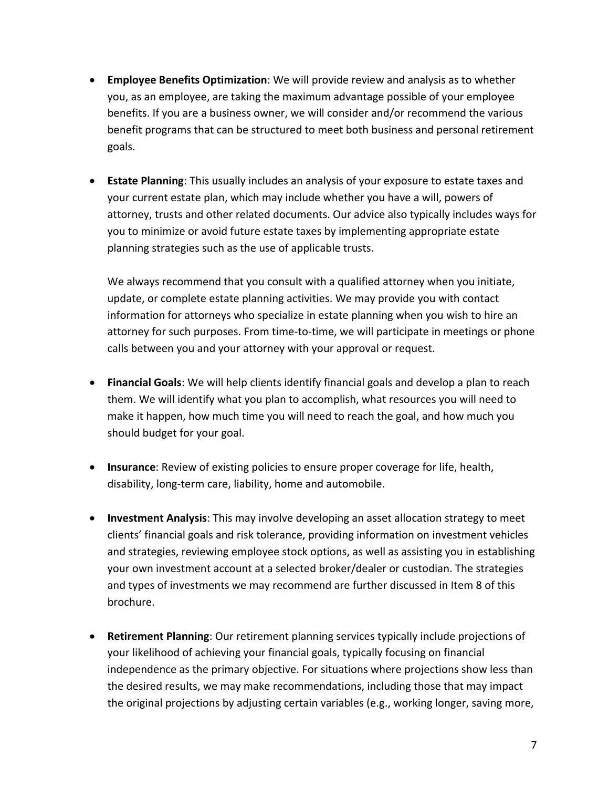- **Employee Benefits Optimization**: We will provide review and analysis as to whether you, as an employee, are taking the maximum advantage possible of your employee benefits. If you are a business owner, we will consider and/or recommend the various benefit programs that can be structured to meet both business and personal retirement goals.
- **Estate Planning**: This usually includes an analysis of your exposure to estate taxes and your current estate plan, which may include whether you have a will, powers of attorney, trusts and other related documents. Our advice also typically includes ways for you to minimize or avoid future estate taxes by implementing appropriate estate planning strategies such as the use of applicable trusts.

We always recommend that you consult with a qualified attorney when you initiate, update, or complete estate planning activities. We may provide you with contact information for attorneys who specialize in estate planning when you wish to hire an attorney for such purposes. From time-to-time, we will participate in meetings or phone calls between you and your attorney with your approval or request.

- **Financial Goals**: We will help clients identify financial goals and develop a plan to reach them. We will identify what you plan to accomplish, what resources you will need to make it happen, how much time you will need to reach the goal, and how much you should budget for your goal.
- **Insurance**: Review of existing policies to ensure proper coverage for life, health, disability, long-term care, liability, home and automobile.
- **Investment Analysis**: This may involve developing an asset allocation strategy to meet clients' financial goals and risk tolerance, providing information on investment vehicles and strategies, reviewing employee stock options, as well as assisting you in establishing your own investment account at a selected broker/dealer or custodian. The strategies and types of investments we may recommend are further discussed in Item 8 of this brochure.
- **Retirement Planning**: Our retirement planning services typically include projections of your likelihood of achieving your financial goals, typically focusing on financial independence as the primary objective. For situations where projections show less than the desired results, we may make recommendations, including those that may impact the original projections by adjusting certain variables (e.g., working longer, saving more,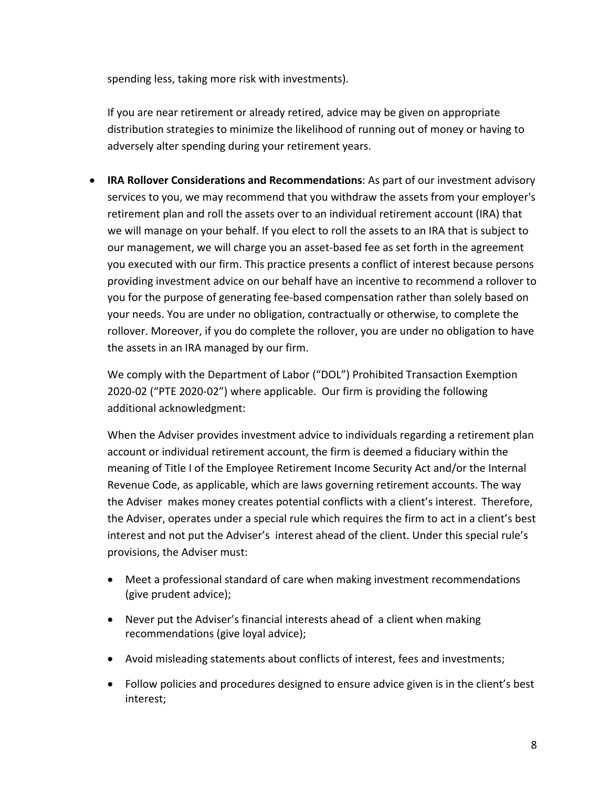spending less, taking more risk with investments).

If you are near retirement or already retired, advice may be given on appropriate distribution strategies to minimize the likelihood of running out of money or having to adversely alter spending during your retirement years.

• **IRA Rollover Considerations and Recommendations**: As part of our investment advisory services to you, we may recommend that you withdraw the assets from your employer's retirement plan and roll the assets over to an individual retirement account (IRA) that we will manage on your behalf. If you elect to roll the assets to an IRA that is subject to our management, we will charge you an asset-based fee as set forth in the agreement you executed with our firm. This practice presents a conflict of interest because persons providing investment advice on our behalf have an incentive to recommend a rollover to you for the purpose of generating fee-based compensation rather than solely based on your needs. You are under no obligation, contractually or otherwise, to complete the rollover. Moreover, if you do complete the rollover, you are under no obligation to have the assets in an IRA managed by our firm.

We comply with the Department of Labor ("DOL") Prohibited Transaction Exemption 2020-02 ("PTE 2020-02") where applicable. Our firm is providing the following additional acknowledgment:

When the Adviser provides investment advice to individuals regarding a retirement plan account or individual retirement account, the firm is deemed a fiduciary within the meaning of Title I of the Employee Retirement Income Security Act and/or the Internal Revenue Code, as applicable, which are laws governing retirement accounts. The way the Adviser makes money creates potential conflicts with a client's interest. Therefore, the Adviser, operates under a special rule which requires the firm to act in a client's best interest and not put the Adviser's interest ahead of the client. Under this special rule's provisions, the Adviser must:

- Meet a professional standard of care when making investment recommendations (give prudent advice);
- Never put the Adviser's financial interests ahead of a client when making recommendations (give loyal advice);
- Avoid misleading statements about conflicts of interest, fees and investments;
- Follow policies and procedures designed to ensure advice given is in the client's best interest;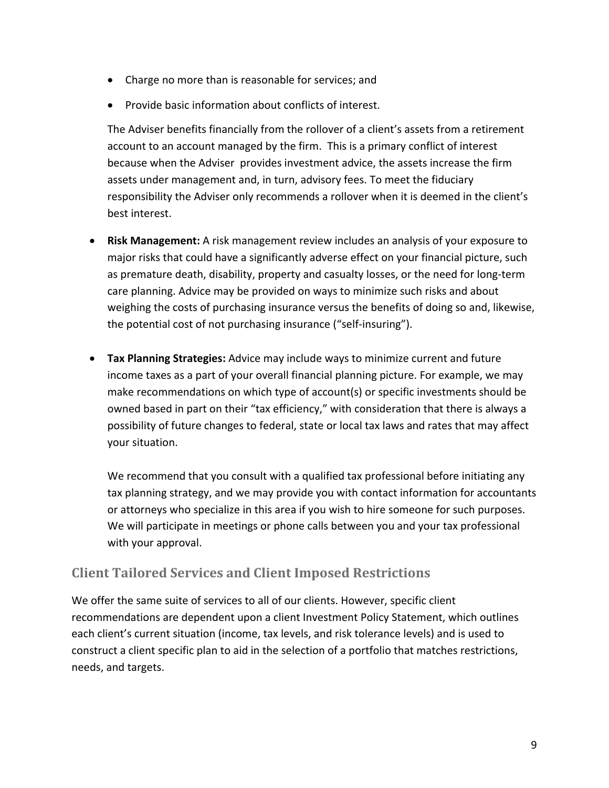- Charge no more than is reasonable for services; and
- Provide basic information about conflicts of interest.

The Adviser benefits financially from the rollover of a client's assets from a retirement account to an account managed by the firm. This is a primary conflict of interest because when the Adviser provides investment advice, the assets increase the firm assets under management and, in turn, advisory fees. To meet the fiduciary responsibility the Adviser only recommends a rollover when it is deemed in the client's best interest.

- **Risk Management:** A risk management review includes an analysis of your exposure to major risks that could have a significantly adverse effect on your financial picture, such as premature death, disability, property and casualty losses, or the need for long-term care planning. Advice may be provided on ways to minimize such risks and about weighing the costs of purchasing insurance versus the benefits of doing so and, likewise, the potential cost of not purchasing insurance ("self-insuring").
- **Tax Planning Strategies:** Advice may include ways to minimize current and future income taxes as a part of your overall financial planning picture. For example, we may make recommendations on which type of account(s) or specific investments should be owned based in part on their "tax efficiency," with consideration that there is always a possibility of future changes to federal, state or local tax laws and rates that may affect your situation.

We recommend that you consult with a qualified tax professional before initiating any tax planning strategy, and we may provide you with contact information for accountants or attorneys who specialize in this area if you wish to hire someone for such purposes. We will participate in meetings or phone calls between you and your tax professional with your approval.

### **Client Tailored Services and Client Imposed Restrictions**

We offer the same suite of services to all of our clients. However, specific client recommendations are dependent upon a client Investment Policy Statement, which outlines each client's current situation (income, tax levels, and risk tolerance levels) and is used to construct a client specific plan to aid in the selection of a portfolio that matches restrictions, needs, and targets.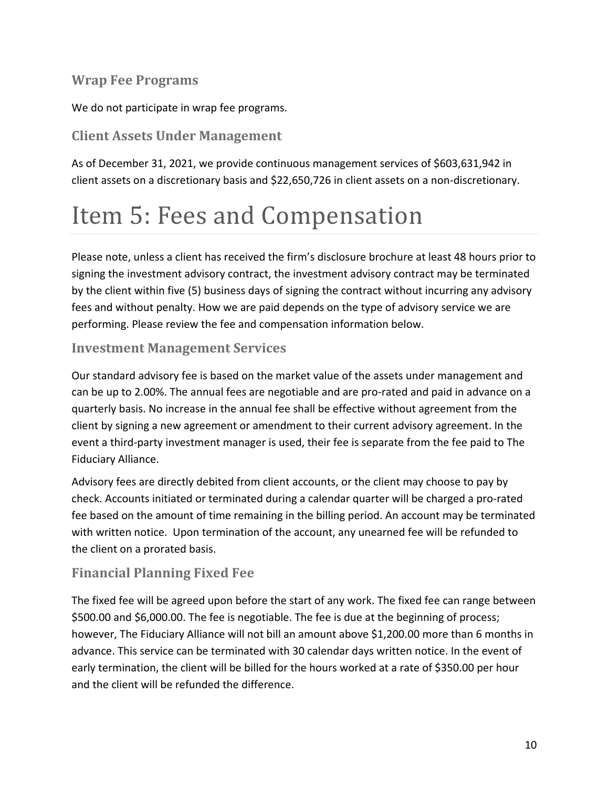### **Wrap Fee Programs**

We do not participate in wrap fee programs.

### **Client Assets Under Management**

As of December 31, 2021, we provide continuous management services of \$603,631,942 in client assets on a discretionary basis and \$22,650,726 in client assets on a non-discretionary.

## Item 5: Fees and Compensation

Please note, unless a client has received the firm's disclosure brochure at least 48 hours prior to signing the investment advisory contract, the investment advisory contract may be terminated by the client within five (5) business days of signing the contract without incurring any advisory fees and without penalty. How we are paid depends on the type of advisory service we are performing. Please review the fee and compensation information below.

#### **Investment Management Services**

Our standard advisory fee is based on the market value of the assets under management and can be up to 2.00%. The annual fees are negotiable and are pro-rated and paid in advance on a quarterly basis. No increase in the annual fee shall be effective without agreement from the client by signing a new agreement or amendment to their current advisory agreement. In the event a third-party investment manager is used, their fee is separate from the fee paid to The Fiduciary Alliance.

Advisory fees are directly debited from client accounts, or the client may choose to pay by check. Accounts initiated or terminated during a calendar quarter will be charged a pro-rated fee based on the amount of time remaining in the billing period. An account may be terminated with written notice. Upon termination of the account, any unearned fee will be refunded to the client on a prorated basis.

### **Financial Planning Fixed Fee**

The fixed fee will be agreed upon before the start of any work. The fixed fee can range between \$500.00 and \$6,000.00. The fee is negotiable. The fee is due at the beginning of process; however, The Fiduciary Alliance will not bill an amount above \$1,200.00 more than 6 months in advance. This service can be terminated with 30 calendar days written notice. In the event of early termination, the client will be billed for the hours worked at a rate of \$350.00 per hour and the client will be refunded the difference.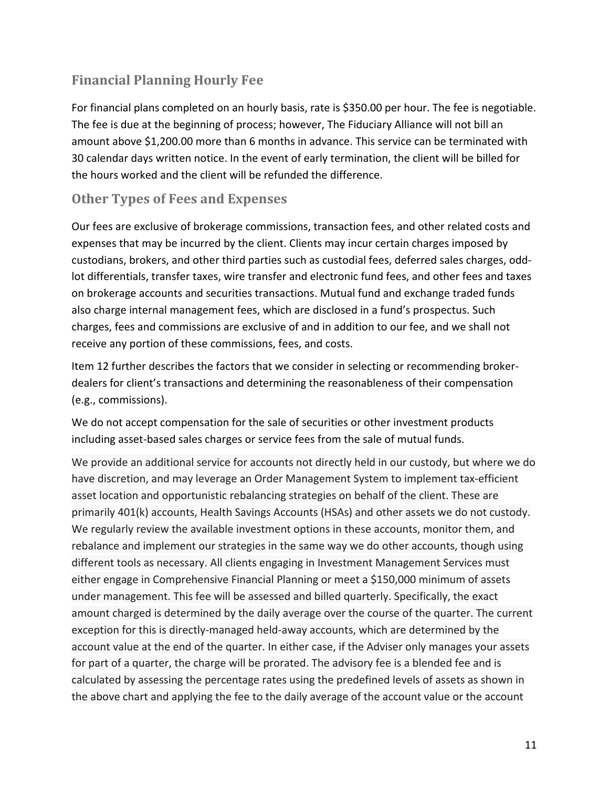### **Financial Planning Hourly Fee**

For financial plans completed on an hourly basis, rate is \$350.00 per hour. The fee is negotiable. The fee is due at the beginning of process; however, The Fiduciary Alliance will not bill an amount above \$1,200.00 more than 6 months in advance. This service can be terminated with 30 calendar days written notice. In the event of early termination, the client will be billed for the hours worked and the client will be refunded the difference.

#### **Other Types of Fees and Expenses**

Our fees are exclusive of brokerage commissions, transaction fees, and other related costs and expenses that may be incurred by the client. Clients may incur certain charges imposed by custodians, brokers, and other third parties such as custodial fees, deferred sales charges, oddlot differentials, transfer taxes, wire transfer and electronic fund fees, and other fees and taxes on brokerage accounts and securities transactions. Mutual fund and exchange traded funds also charge internal management fees, which are disclosed in a fund's prospectus. Such charges, fees and commissions are exclusive of and in addition to our fee, and we shall not receive any portion of these commissions, fees, and costs.

Item 12 further describes the factors that we consider in selecting or recommending brokerdealers for client's transactions and determining the reasonableness of their compensation (e.g., commissions).

We do not accept compensation for the sale of securities or other investment products including asset-based sales charges or service fees from the sale of mutual funds.

We provide an additional service for accounts not directly held in our custody, but where we do have discretion, and may leverage an Order Management System to implement tax-efficient asset location and opportunistic rebalancing strategies on behalf of the client. These are primarily 401(k) accounts, Health Savings Accounts (HSAs) and other assets we do not custody. We regularly review the available investment options in these accounts, monitor them, and rebalance and implement our strategies in the same way we do other accounts, though using different tools as necessary. All clients engaging in Investment Management Services must either engage in Comprehensive Financial Planning or meet a \$150,000 minimum of assets under management. This fee will be assessed and billed quarterly. Specifically, the exact amount charged is determined by the daily average over the course of the quarter. The current exception for this is directly-managed held-away accounts, which are determined by the account value at the end of the quarter. In either case, if the Adviser only manages your assets for part of a quarter, the charge will be prorated. The advisory fee is a blended fee and is calculated by assessing the percentage rates using the predefined levels of assets as shown in the above chart and applying the fee to the daily average of the account value or the account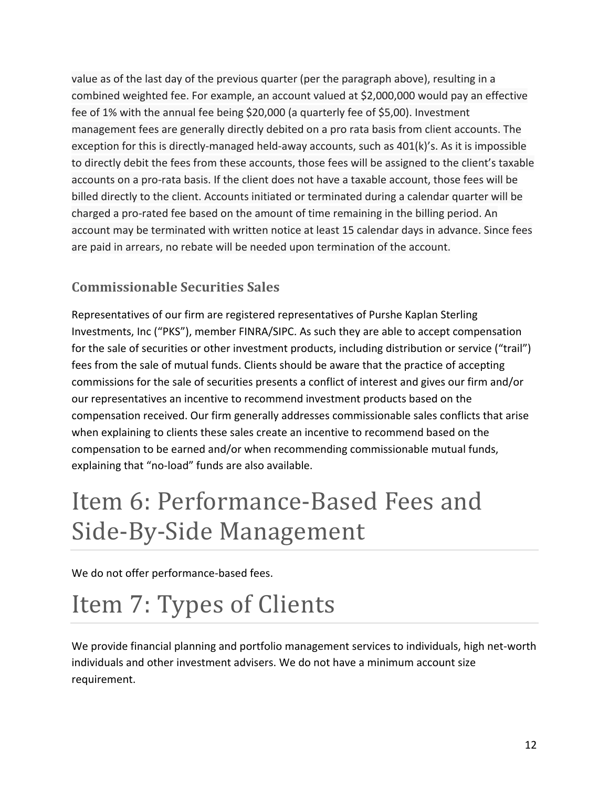value as of the last day of the previous quarter (per the paragraph above), resulting in a combined weighted fee. For example, an account valued at \$2,000,000 would pay an effective fee of 1% with the annual fee being \$20,000 (a quarterly fee of \$5,00). Investment management fees are generally directly debited on a pro rata basis from client accounts. The exception for this is directly-managed held-away accounts, such as 401(k)'s. As it is impossible to directly debit the fees from these accounts, those fees will be assigned to the client's taxable accounts on a pro-rata basis. If the client does not have a taxable account, those fees will be billed directly to the client. Accounts initiated or terminated during a calendar quarter will be charged a pro-rated fee based on the amount of time remaining in the billing period. An account may be terminated with written notice at least 15 calendar days in advance. Since fees are paid in arrears, no rebate will be needed upon termination of the account.

## **Commissionable Securities Sales**

Representatives of our firm are registered representatives of Purshe Kaplan Sterling Investments, Inc ("PKS"), member FINRA/SIPC. As such they are able to accept compensation for the sale of securities or other investment products, including distribution or service ("trail") fees from the sale of mutual funds. Clients should be aware that the practice of accepting commissions for the sale of securities presents a conflict of interest and gives our firm and/or our representatives an incentive to recommend investment products based on the compensation received. Our firm generally addresses commissionable sales conflicts that arise when explaining to clients these sales create an incentive to recommend based on the compensation to be earned and/or when recommending commissionable mutual funds, explaining that "no-load" funds are also available.

# <span id="page-11-0"></span>Item 6: Performance-Based Fees and Side-By-Side Management

We do not offer performance-based fees.

# <span id="page-11-1"></span>Item 7: Types of Clients

We provide financial planning and portfolio management services to individuals, high net-worth individuals and other investment advisers. We do not have a minimum account size requirement.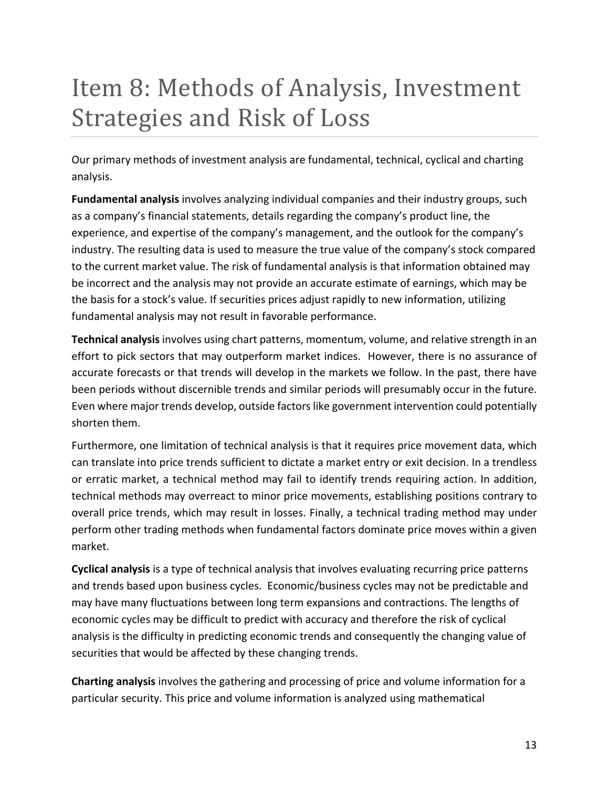# <span id="page-12-0"></span>Item 8: Methods of Analysis, Investment Strategies and Risk of Loss

Our primary methods of investment analysis are fundamental, technical, cyclical and charting analysis.

**Fundamental analysis** involves analyzing individual companies and their industry groups, such as a company's financial statements, details regarding the company's product line, the experience, and expertise of the company's management, and the outlook for the company's industry. The resulting data is used to measure the true value of the company's stock compared to the current market value. The risk of fundamental analysis is that information obtained may be incorrect and the analysis may not provide an accurate estimate of earnings, which may be the basis for a stock's value. If securities prices adjust rapidly to new information, utilizing fundamental analysis may not result in favorable performance.

**Technical analysis** involves using chart patterns, momentum, volume, and relative strength in an effort to pick sectors that may outperform market indices. However, there is no assurance of accurate forecasts or that trends will develop in the markets we follow. In the past, there have been periods without discernible trends and similar periods will presumably occur in the future. Even where major trends develop, outside factors like government intervention could potentially shorten them.

Furthermore, one limitation of technical analysis is that it requires price movement data, which can translate into price trends sufficient to dictate a market entry or exit decision. In a trendless or erratic market, a technical method may fail to identify trends requiring action. In addition, technical methods may overreact to minor price movements, establishing positions contrary to overall price trends, which may result in losses. Finally, a technical trading method may under perform other trading methods when fundamental factors dominate price moves within a given market.

**Cyclical analysis** is a type of technical analysis that involves evaluating recurring price patterns and trends based upon business cycles. Economic/business cycles may not be predictable and may have many fluctuations between long term expansions and contractions. The lengths of economic cycles may be difficult to predict with accuracy and therefore the risk of cyclical analysis is the difficulty in predicting economic trends and consequently the changing value of securities that would be affected by these changing trends.

**Charting analysis** involves the gathering and processing of price and volume information for a particular security. This price and volume information is analyzed using mathematical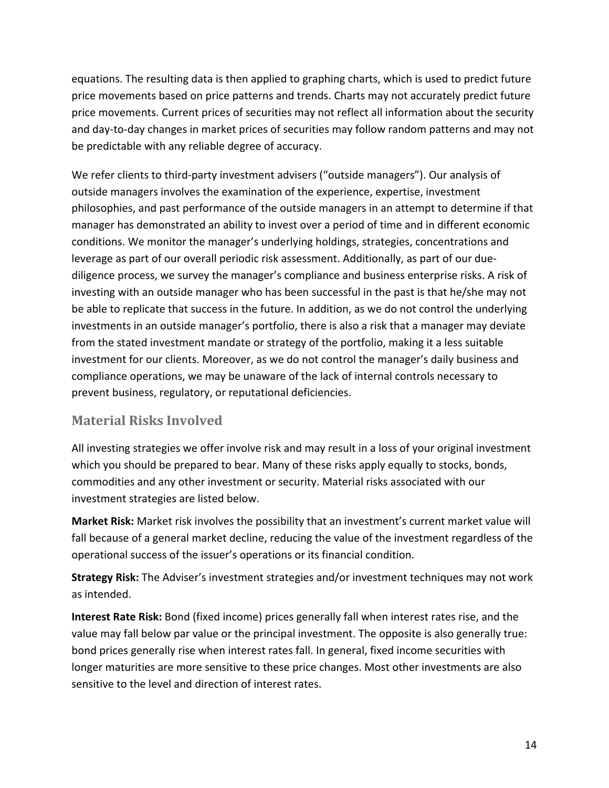equations. The resulting data is then applied to graphing charts, which is used to predict future price movements based on price patterns and trends. Charts may not accurately predict future price movements. Current prices of securities may not reflect all information about the security and day-to-day changes in market prices of securities may follow random patterns and may not be predictable with any reliable degree of accuracy.

We refer clients to third-party investment advisers ("outside managers"). Our analysis of outside managers involves the examination of the experience, expertise, investment philosophies, and past performance of the outside managers in an attempt to determine if that manager has demonstrated an ability to invest over a period of time and in different economic conditions. We monitor the manager's underlying holdings, strategies, concentrations and leverage as part of our overall periodic risk assessment. Additionally, as part of our duediligence process, we survey the manager's compliance and business enterprise risks. A risk of investing with an outside manager who has been successful in the past is that he/she may not be able to replicate that success in the future. In addition, as we do not control the underlying investments in an outside manager's portfolio, there is also a risk that a manager may deviate from the stated investment mandate or strategy of the portfolio, making it a less suitable investment for our clients. Moreover, as we do not control the manager's daily business and compliance operations, we may be unaware of the lack of internal controls necessary to prevent business, regulatory, or reputational deficiencies.

### **Material Risks Involved**

All investing strategies we offer involve risk and may result in a loss of your original investment which you should be prepared to bear. Many of these risks apply equally to stocks, bonds, commodities and any other investment or security. Material risks associated with our investment strategies are listed below.

**Market Risk:** Market risk involves the possibility that an investment's current market value will fall because of a general market decline, reducing the value of the investment regardless of the operational success of the issuer's operations or its financial condition.

**Strategy Risk:** The Adviser's investment strategies and/or investment techniques may not work as intended.

**Interest Rate Risk:** Bond (fixed income) prices generally fall when interest rates rise, and the value may fall below par value or the principal investment. The opposite is also generally true: bond prices generally rise when interest rates fall. In general, fixed income securities with longer maturities are more sensitive to these price changes. Most other investments are also sensitive to the level and direction of interest rates.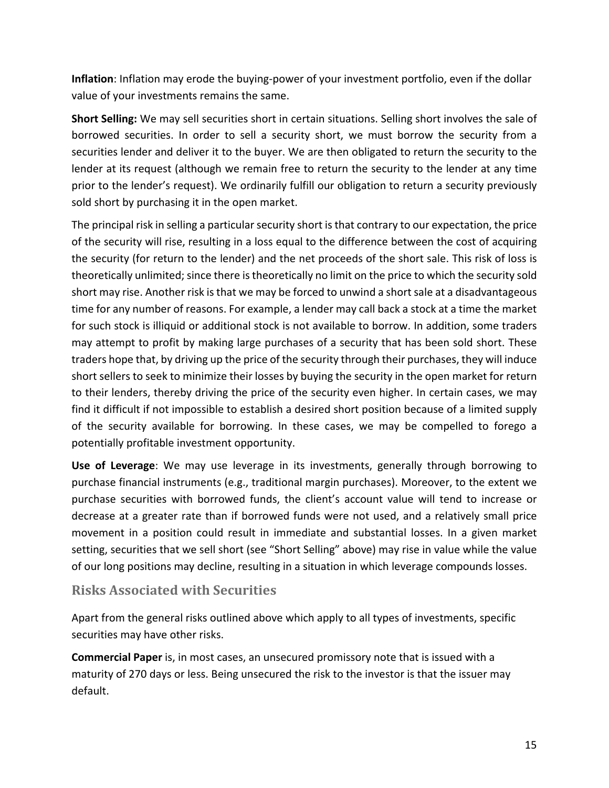**Inflation**: Inflation may erode the buying-power of your investment portfolio, even if the dollar value of your investments remains the same.

**Short Selling:** We may sell securities short in certain situations. Selling short involves the sale of borrowed securities. In order to sell a security short, we must borrow the security from a securities lender and deliver it to the buyer. We are then obligated to return the security to the lender at its request (although we remain free to return the security to the lender at any time prior to the lender's request). We ordinarily fulfill our obligation to return a security previously sold short by purchasing it in the open market.

The principal risk in selling a particular security short is that contrary to our expectation, the price of the security will rise, resulting in a loss equal to the difference between the cost of acquiring the security (for return to the lender) and the net proceeds of the short sale. This risk of loss is theoretically unlimited; since there is theoretically no limit on the price to which the security sold short may rise. Another risk is that we may be forced to unwind a short sale at a disadvantageous time for any number of reasons. For example, a lender may call back a stock at a time the market for such stock is illiquid or additional stock is not available to borrow. In addition, some traders may attempt to profit by making large purchases of a security that has been sold short. These traders hope that, by driving up the price of the security through their purchases, they will induce short sellers to seek to minimize their losses by buying the security in the open market for return to their lenders, thereby driving the price of the security even higher. In certain cases, we may find it difficult if not impossible to establish a desired short position because of a limited supply of the security available for borrowing. In these cases, we may be compelled to forego a potentially profitable investment opportunity.

**Use of Leverage**: We may use leverage in its investments, generally through borrowing to purchase financial instruments (e.g., traditional margin purchases). Moreover, to the extent we purchase securities with borrowed funds, the client's account value will tend to increase or decrease at a greater rate than if borrowed funds were not used, and a relatively small price movement in a position could result in immediate and substantial losses. In a given market setting, securities that we sell short (see "Short Selling" above) may rise in value while the value of our long positions may decline, resulting in a situation in which leverage compounds losses.

#### **Risks Associated with Securities**

Apart from the general risks outlined above which apply to all types of investments, specific securities may have other risks.

**Commercial Paper** is, in most cases, an unsecured promissory note that is issued with a maturity of 270 days or less. Being unsecured the risk to the investor is that the issuer may default.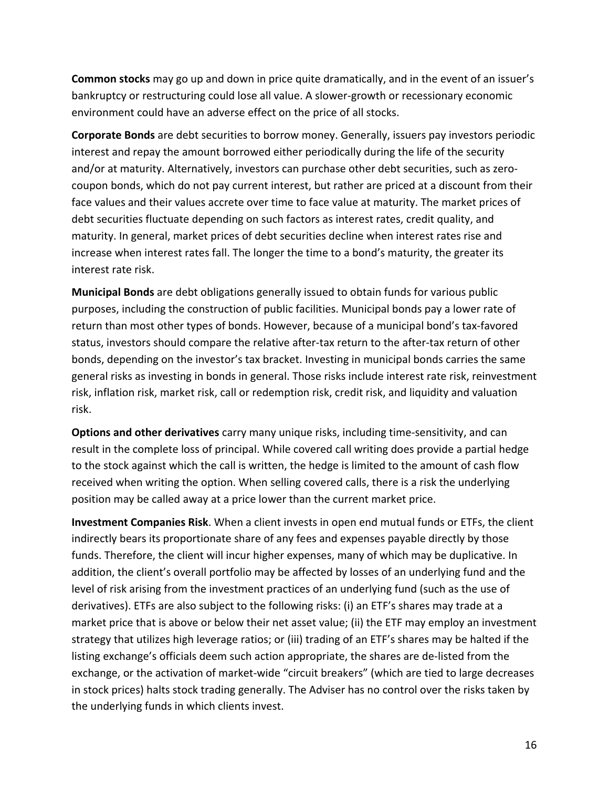**Common stocks** may go up and down in price quite dramatically, and in the event of an issuer's bankruptcy or restructuring could lose all value. A slower-growth or recessionary economic environment could have an adverse effect on the price of all stocks.

**Corporate Bonds** are debt securities to borrow money. Generally, issuers pay investors periodic interest and repay the amount borrowed either periodically during the life of the security and/or at maturity. Alternatively, investors can purchase other debt securities, such as zerocoupon bonds, which do not pay current interest, but rather are priced at a discount from their face values and their values accrete over time to face value at maturity. The market prices of debt securities fluctuate depending on such factors as interest rates, credit quality, and maturity. In general, market prices of debt securities decline when interest rates rise and increase when interest rates fall. The longer the time to a bond's maturity, the greater its interest rate risk.

**Municipal Bonds** are debt obligations generally issued to obtain funds for various public purposes, including the construction of public facilities. Municipal bonds pay a lower rate of return than most other types of bonds. However, because of a municipal bond's tax-favored status, investors should compare the relative after-tax return to the after-tax return of other bonds, depending on the investor's tax bracket. Investing in municipal bonds carries the same general risks as investing in bonds in general. Those risks include interest rate risk, reinvestment risk, inflation risk, market risk, call or redemption risk, credit risk, and liquidity and valuation risk.

**Options and other derivatives** carry many unique risks, including time-sensitivity, and can result in the complete loss of principal. While covered call writing does provide a partial hedge to the stock against which the call is written, the hedge is limited to the amount of cash flow received when writing the option. When selling covered calls, there is a risk the underlying position may be called away at a price lower than the current market price.

**Investment Companies Risk**. When a client invests in open end mutual funds or ETFs, the client indirectly bears its proportionate share of any fees and expenses payable directly by those funds. Therefore, the client will incur higher expenses, many of which may be duplicative. In addition, the client's overall portfolio may be affected by losses of an underlying fund and the level of risk arising from the investment practices of an underlying fund (such as the use of derivatives). ETFs are also subject to the following risks: (i) an ETF's shares may trade at a market price that is above or below their net asset value; (ii) the ETF may employ an investment strategy that utilizes high leverage ratios; or (iii) trading of an ETF's shares may be halted if the listing exchange's officials deem such action appropriate, the shares are de-listed from the exchange, or the activation of market-wide "circuit breakers" (which are tied to large decreases in stock prices) halts stock trading generally. The Adviser has no control over the risks taken by the underlying funds in which clients invest.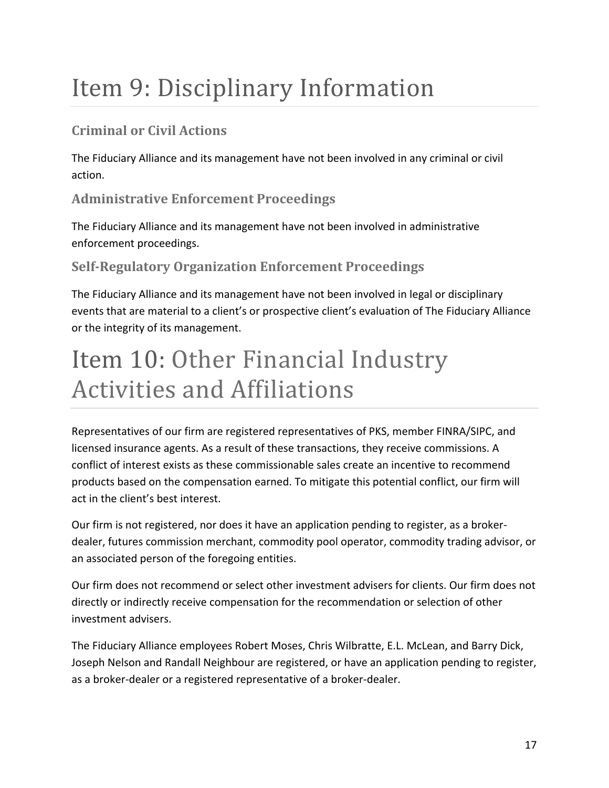# <span id="page-16-0"></span>Item 9: Disciplinary Information

## **Criminal or Civil Actions**

The Fiduciary Alliance and its management have not been involved in any criminal or civil action.

## **Administrative Enforcement Proceedings**

The Fiduciary Alliance and its management have not been involved in administrative enforcement proceedings.

## **Self-Regulatory Organization Enforcement Proceedings**

The Fiduciary Alliance and its management have not been involved in legal or disciplinary events that are material to a client's or prospective client's evaluation of The Fiduciary Alliance or the integrity of its management.

## <span id="page-16-1"></span>Item 10: Other Financial Industry Activities and Affiliations

Representatives of our firm are registered representatives of PKS, member FINRA/SIPC, and licensed insurance agents. As a result of these transactions, they receive commissions. A conflict of interest exists as these commissionable sales create an incentive to recommend products based on the compensation earned. To mitigate this potential conflict, our firm will act in the client's best interest.

Our firm is not registered, nor does it have an application pending to register, as a brokerdealer, futures commission merchant, commodity pool operator, commodity trading advisor, or an associated person of the foregoing entities.

Our firm does not recommend or select other investment advisers for clients. Our firm does not directly or indirectly receive compensation for the recommendation or selection of other investment advisers.

The Fiduciary Alliance employees Robert Moses, Chris Wilbratte, E.L. McLean, and Barry Dick, Joseph Nelson and Randall Neighbour are registered, or have an application pending to register, as a broker-dealer or a registered representative of a broker-dealer.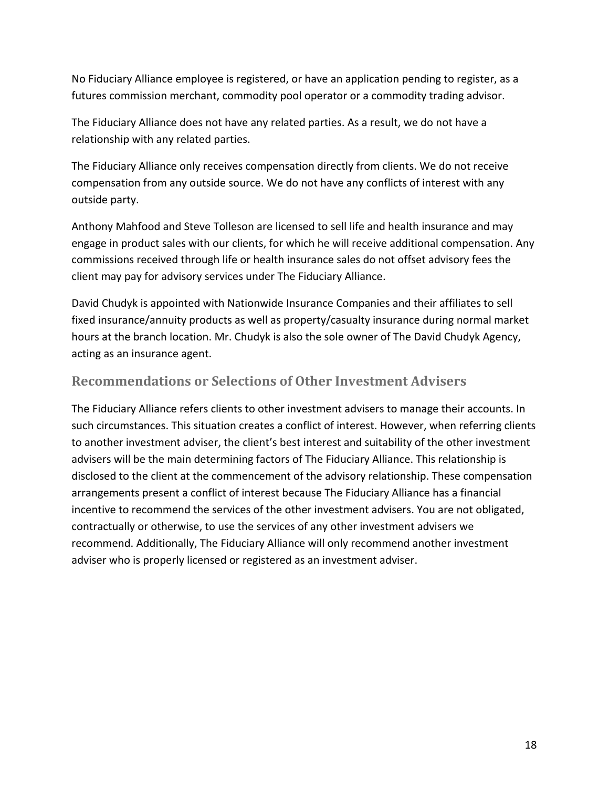No Fiduciary Alliance employee is registered, or have an application pending to register, as a futures commission merchant, commodity pool operator or a commodity trading advisor.

The Fiduciary Alliance does not have any related parties. As a result, we do not have a relationship with any related parties.

The Fiduciary Alliance only receives compensation directly from clients. We do not receive compensation from any outside source. We do not have any conflicts of interest with any outside party.

Anthony Mahfood and Steve Tolleson are licensed to sell life and health insurance and may engage in product sales with our clients, for which he will receive additional compensation. Any commissions received through life or health insurance sales do not offset advisory fees the client may pay for advisory services under The Fiduciary Alliance.

David Chudyk is appointed with Nationwide Insurance Companies and their affiliates to sell fixed insurance/annuity products as well as property/casualty insurance during normal market hours at the branch location. Mr. Chudyk is also the sole owner of The David Chudyk Agency, acting as an insurance agent.

#### **Recommendations or Selections of Other Investment Advisers**

The Fiduciary Alliance refers clients to other investment advisers to manage their accounts. In such circumstances. This situation creates a conflict of interest. However, when referring clients to another investment adviser, the client's best interest and suitability of the other investment advisers will be the main determining factors of The Fiduciary Alliance. This relationship is disclosed to the client at the commencement of the advisory relationship. These compensation arrangements present a conflict of interest because The Fiduciary Alliance has a financial incentive to recommend the services of the other investment advisers. You are not obligated, contractually or otherwise, to use the services of any other investment advisers we recommend. Additionally, The Fiduciary Alliance will only recommend another investment adviser who is properly licensed or registered as an investment adviser.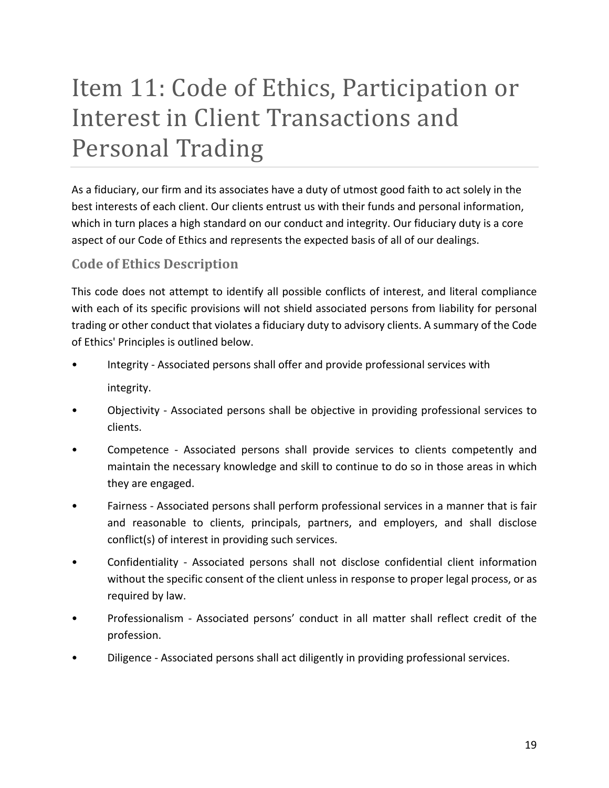# <span id="page-18-0"></span>Item 11: Code of Ethics, Participation or Interest in Client Transactions and Personal Trading

As a fiduciary, our firm and its associates have a duty of utmost good faith to act solely in the best interests of each client. Our clients entrust us with their funds and personal information, which in turn places a high standard on our conduct and integrity. Our fiduciary duty is a core aspect of our Code of Ethics and represents the expected basis of all of our dealings.

### **Code of Ethics Description**

This code does not attempt to identify all possible conflicts of interest, and literal compliance with each of its specific provisions will not shield associated persons from liability for personal trading or other conduct that violates a fiduciary duty to advisory clients. A summary of the Code of Ethics' Principles is outlined below.

- Integrity Associated persons shall offer and provide professional services with integrity.
- Objectivity Associated persons shall be objective in providing professional services to clients.
- Competence Associated persons shall provide services to clients competently and maintain the necessary knowledge and skill to continue to do so in those areas in which they are engaged.
- Fairness Associated persons shall perform professional services in a manner that is fair and reasonable to clients, principals, partners, and employers, and shall disclose conflict(s) of interest in providing such services.
- Confidentiality Associated persons shall not disclose confidential client information without the specific consent of the client unless in response to proper legal process, or as required by law.
- Professionalism Associated persons' conduct in all matter shall reflect credit of the profession.
- Diligence Associated persons shall act diligently in providing professional services.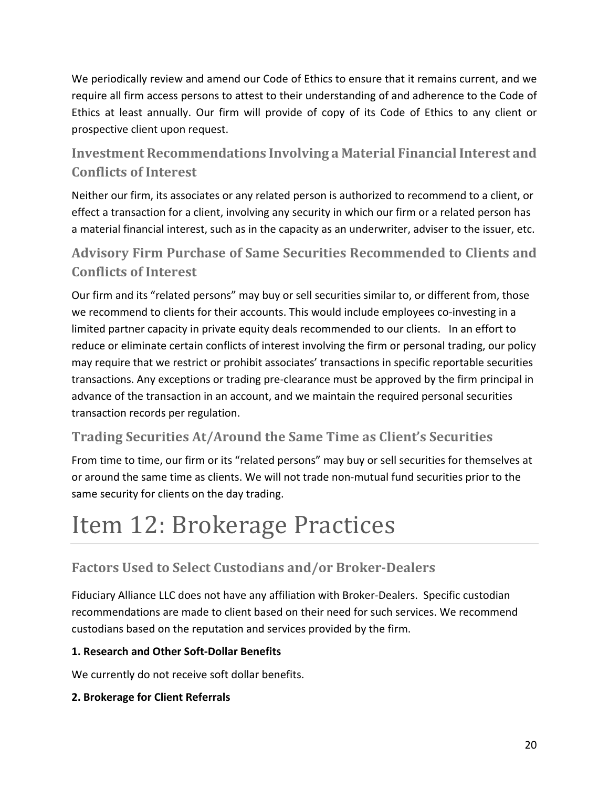We periodically review and amend our Code of Ethics to ensure that it remains current, and we require all firm access persons to attest to their understanding of and adherence to the Code of Ethics at least annually. Our firm will provide of copy of its Code of Ethics to any client or prospective client upon request.

## **Investment Recommendations Involving a Material Financial Interest and Conflicts of Interest**

Neither our firm, its associates or any related person is authorized to recommend to a client, or effect a transaction for a client, involving any security in which our firm or a related person has a material financial interest, such as in the capacity as an underwriter, adviser to the issuer, etc.

## **Advisory Firm Purchase of Same Securities Recommended to Clients and Conflicts of Interest**

Our firm and its "related persons" may buy or sell securities similar to, or different from, those we recommend to clients for their accounts. This would include employees co-investing in a limited partner capacity in private equity deals recommended to our clients. In an effort to reduce or eliminate certain conflicts of interest involving the firm or personal trading, our policy may require that we restrict or prohibit associates' transactions in specific reportable securities transactions. Any exceptions or trading pre-clearance must be approved by the firm principal in advance of the transaction in an account, and we maintain the required personal securities transaction records per regulation.

## **Trading Securities At/Around the Same Time as Client's Securities**

From time to time, our firm or its "related persons" may buy or sell securities for themselves at or around the same time as clients. We will not trade non-mutual fund securities prior to the same security for clients on the day trading.

## <span id="page-19-0"></span>Item 12: Brokerage Practices

## **Factors Used to Select Custodians and/or Broker-Dealers**

Fiduciary Alliance LLC does not have any affiliation with Broker-Dealers. Specific custodian recommendations are made to client based on their need for such services. We recommend custodians based on the reputation and services provided by the firm.

#### **1. Research and Other Soft-Dollar Benefits**

We currently do not receive soft dollar benefits.

#### **2. Brokerage for Client Referrals**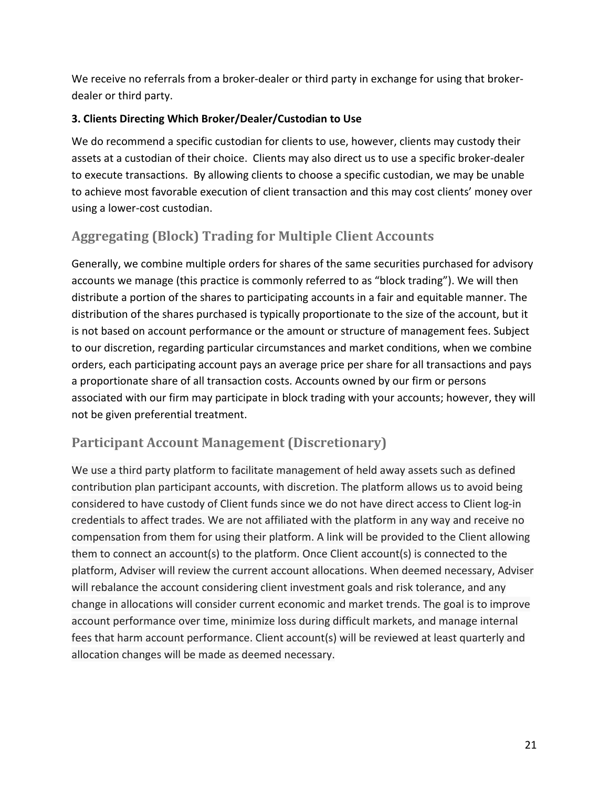We receive no referrals from a broker-dealer or third party in exchange for using that brokerdealer or third party.

#### **3. Clients Directing Which Broker/Dealer/Custodian to Use**

We do recommend a specific custodian for clients to use, however, clients may custody their assets at a custodian of their choice. Clients may also direct us to use a specific broker-dealer to execute transactions. By allowing clients to choose a specific custodian, we may be unable to achieve most favorable execution of client transaction and this may cost clients' money over using a lower-cost custodian.

## **Aggregating (Block) Trading for Multiple Client Accounts**

Generally, we combine multiple orders for shares of the same securities purchased for advisory accounts we manage (this practice is commonly referred to as "block trading"). We will then distribute a portion of the shares to participating accounts in a fair and equitable manner. The distribution of the shares purchased is typically proportionate to the size of the account, but it is not based on account performance or the amount or structure of management fees. Subject to our discretion, regarding particular circumstances and market conditions, when we combine orders, each participating account pays an average price per share for all transactions and pays a proportionate share of all transaction costs. Accounts owned by our firm or persons associated with our firm may participate in block trading with your accounts; however, they will not be given preferential treatment.

### **Participant Account Management (Discretionary)**

We use a third party platform to facilitate management of held away assets such as defined contribution plan participant accounts, with discretion. The platform allows us to avoid being considered to have custody of Client funds since we do not have direct access to Client log-in credentials to affect trades. We are not affiliated with the platform in any way and receive no compensation from them for using their platform. A link will be provided to the Client allowing them to connect an account(s) to the platform. Once Client account(s) is connected to the platform, Adviser will review the current account allocations. When deemed necessary, Adviser will rebalance the account considering client investment goals and risk tolerance, and any change in allocations will consider current economic and market trends. The goal is to improve account performance over time, minimize loss during difficult markets, and manage internal fees that harm account performance. Client account(s) will be reviewed at least quarterly and allocation changes will be made as deemed necessary.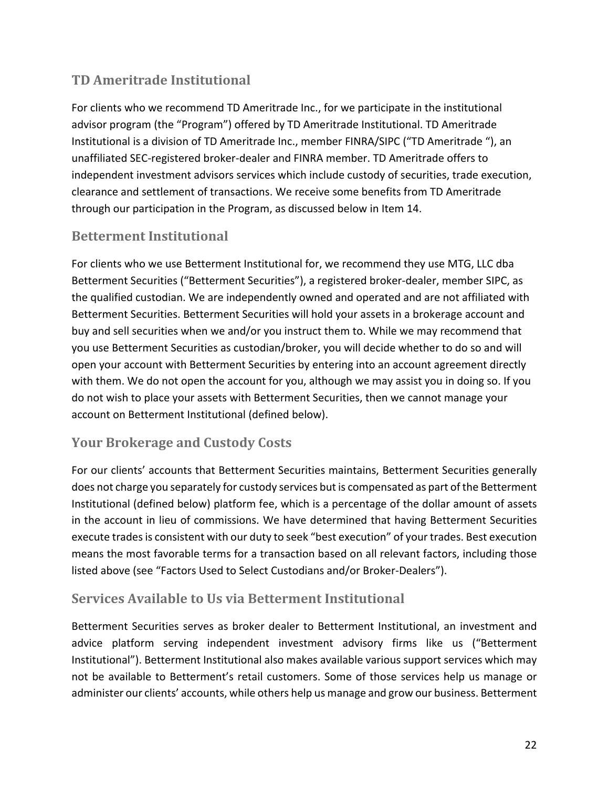## **TD Ameritrade Institutional**

For clients who we recommend TD Ameritrade Inc., for we participate in the institutional advisor program (the "Program") offered by TD Ameritrade Institutional. TD Ameritrade Institutional is a division of TD Ameritrade Inc., member FINRA/SIPC ("TD Ameritrade "), an unaffiliated SEC-registered broker-dealer and FINRA member. TD Ameritrade offers to independent investment advisors services which include custody of securities, trade execution, clearance and settlement of transactions. We receive some benefits from TD Ameritrade through our participation in the Program, as discussed below in Item 14.

### **Betterment Institutional**

For clients who we use Betterment Institutional for, we recommend they use MTG, LLC dba Betterment Securities ("Betterment Securities"), a registered broker-dealer, member SIPC, as the qualified custodian. We are independently owned and operated and are not affiliated with Betterment Securities. Betterment Securities will hold your assets in a brokerage account and buy and sell securities when we and/or you instruct them to. While we may recommend that you use Betterment Securities as custodian/broker, you will decide whether to do so and will open your account with Betterment Securities by entering into an account agreement directly with them. We do not open the account for you, although we may assist you in doing so. If you do not wish to place your assets with Betterment Securities, then we cannot manage your account on Betterment Institutional (defined below).

### **Your Brokerage and Custody Costs**

For our clients' accounts that Betterment Securities maintains, Betterment Securities generally does not charge you separately for custody services but is compensated as part of the Betterment Institutional (defined below) platform fee, which is a percentage of the dollar amount of assets in the account in lieu of commissions. We have determined that having Betterment Securities execute trades is consistent with our duty to seek "best execution" of your trades. Best execution means the most favorable terms for a transaction based on all relevant factors, including those listed above (see "Factors Used to Select Custodians and/or Broker-Dealers").

### **Services Available to Us via Betterment Institutional**

Betterment Securities serves as broker dealer to Betterment Institutional, an investment and advice platform serving independent investment advisory firms like us ("Betterment Institutional"). Betterment Institutional also makes available various support services which may not be available to Betterment's retail customers. Some of those services help us manage or administer our clients' accounts, while others help us manage and grow our business. Betterment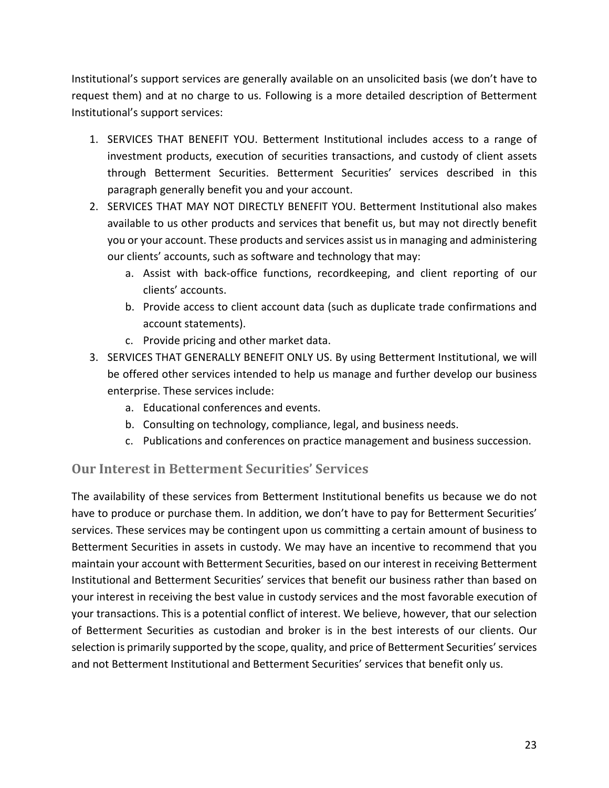Institutional's support services are generally available on an unsolicited basis (we don't have to request them) and at no charge to us. Following is a more detailed description of Betterment Institutional's support services:

- 1. SERVICES THAT BENEFIT YOU. Betterment Institutional includes access to a range of investment products, execution of securities transactions, and custody of client assets through Betterment Securities. Betterment Securities' services described in this paragraph generally benefit you and your account.
- 2. SERVICES THAT MAY NOT DIRECTLY BENEFIT YOU. Betterment Institutional also makes available to us other products and services that benefit us, but may not directly benefit you or your account. These products and services assist us in managing and administering our clients' accounts, such as software and technology that may:
	- a. Assist with back-office functions, recordkeeping, and client reporting of our clients' accounts.
	- b. Provide access to client account data (such as duplicate trade confirmations and account statements).
	- c. Provide pricing and other market data.
- 3. SERVICES THAT GENERALLY BENEFIT ONLY US. By using Betterment Institutional, we will be offered other services intended to help us manage and further develop our business enterprise. These services include:
	- a. Educational conferences and events.
	- b. Consulting on technology, compliance, legal, and business needs.
	- c. Publications and conferences on practice management and business succession.

### **Our Interest in Betterment Securities' Services**

The availability of these services from Betterment Institutional benefits us because we do not have to produce or purchase them. In addition, we don't have to pay for Betterment Securities' services. These services may be contingent upon us committing a certain amount of business to Betterment Securities in assets in custody. We may have an incentive to recommend that you maintain your account with Betterment Securities, based on our interest in receiving Betterment Institutional and Betterment Securities' services that benefit our business rather than based on your interest in receiving the best value in custody services and the most favorable execution of your transactions. This is a potential conflict of interest. We believe, however, that our selection of Betterment Securities as custodian and broker is in the best interests of our clients. Our selection is primarily supported by the scope, quality, and price of Betterment Securities' services and not Betterment Institutional and Betterment Securities' services that benefit only us.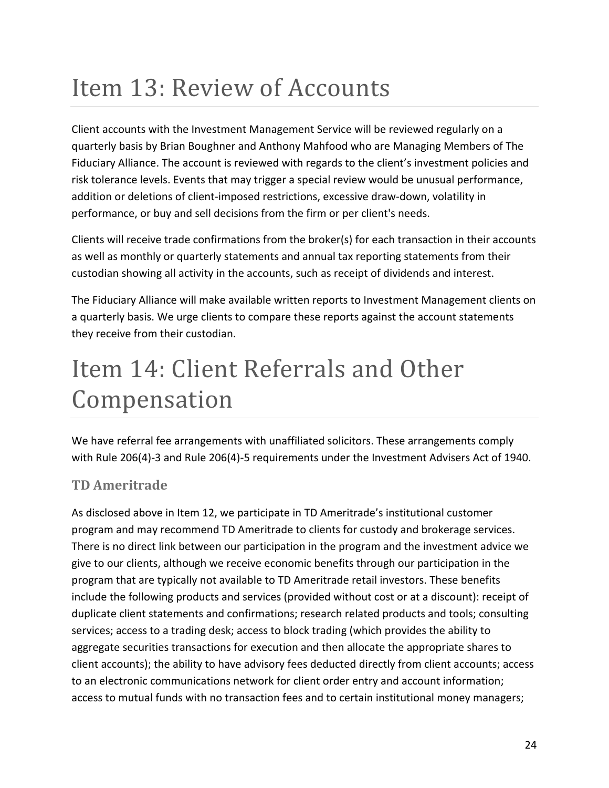## <span id="page-23-0"></span>Item 13: Review of Accounts

Client accounts with the Investment Management Service will be reviewed regularly on a quarterly basis by Brian Boughner and Anthony Mahfood who are Managing Members of The Fiduciary Alliance. The account is reviewed with regards to the client's investment policies and risk tolerance levels. Events that may trigger a special review would be unusual performance, addition or deletions of client-imposed restrictions, excessive draw-down, volatility in performance, or buy and sell decisions from the firm or per client's needs.

Clients will receive trade confirmations from the broker(s) for each transaction in their accounts as well as monthly or quarterly statements and annual tax reporting statements from their custodian showing all activity in the accounts, such as receipt of dividends and interest.

The Fiduciary Alliance will make available written reports to Investment Management clients on a quarterly basis. We urge clients to compare these reports against the account statements they receive from their custodian.

## <span id="page-23-1"></span>Item 14: Client Referrals and Other Compensation

We have referral fee arrangements with unaffiliated solicitors. These arrangements comply with Rule 206(4)-3 and Rule 206(4)-5 requirements under the Investment Advisers Act of 1940.

## **TD Ameritrade**

As disclosed above in Item 12, we participate in TD Ameritrade's institutional customer program and may recommend TD Ameritrade to clients for custody and brokerage services. There is no direct link between our participation in the program and the investment advice we give to our clients, although we receive economic benefits through our participation in the program that are typically not available to TD Ameritrade retail investors. These benefits include the following products and services (provided without cost or at a discount): receipt of duplicate client statements and confirmations; research related products and tools; consulting services; access to a trading desk; access to block trading (which provides the ability to aggregate securities transactions for execution and then allocate the appropriate shares to client accounts); the ability to have advisory fees deducted directly from client accounts; access to an electronic communications network for client order entry and account information; access to mutual funds with no transaction fees and to certain institutional money managers;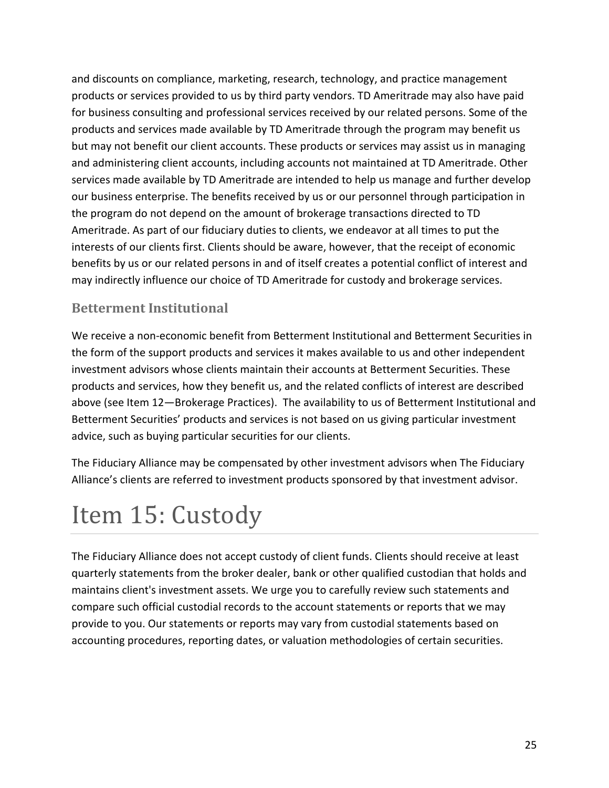and discounts on compliance, marketing, research, technology, and practice management products or services provided to us by third party vendors. TD Ameritrade may also have paid for business consulting and professional services received by our related persons. Some of the products and services made available by TD Ameritrade through the program may benefit us but may not benefit our client accounts. These products or services may assist us in managing and administering client accounts, including accounts not maintained at TD Ameritrade. Other services made available by TD Ameritrade are intended to help us manage and further develop our business enterprise. The benefits received by us or our personnel through participation in the program do not depend on the amount of brokerage transactions directed to TD Ameritrade. As part of our fiduciary duties to clients, we endeavor at all times to put the interests of our clients first. Clients should be aware, however, that the receipt of economic benefits by us or our related persons in and of itself creates a potential conflict of interest and may indirectly influence our choice of TD Ameritrade for custody and brokerage services.

### **Betterment Institutional**

We receive a non-economic benefit from Betterment Institutional and Betterment Securities in the form of the support products and services it makes available to us and other independent investment advisors whose clients maintain their accounts at Betterment Securities. These products and services, how they benefit us, and the related conflicts of interest are described above (see Item 12—Brokerage Practices). The availability to us of Betterment Institutional and Betterment Securities' products and services is not based on us giving particular investment advice, such as buying particular securities for our clients.

The Fiduciary Alliance may be compensated by other investment advisors when The Fiduciary Alliance's clients are referred to investment products sponsored by that investment advisor.

## <span id="page-24-0"></span>Item 15: Custody

The Fiduciary Alliance does not accept custody of client funds. Clients should receive at least quarterly statements from the broker dealer, bank or other qualified custodian that holds and maintains client's investment assets. We urge you to carefully review such statements and compare such official custodial records to the account statements or reports that we may provide to you. Our statements or reports may vary from custodial statements based on accounting procedures, reporting dates, or valuation methodologies of certain securities.